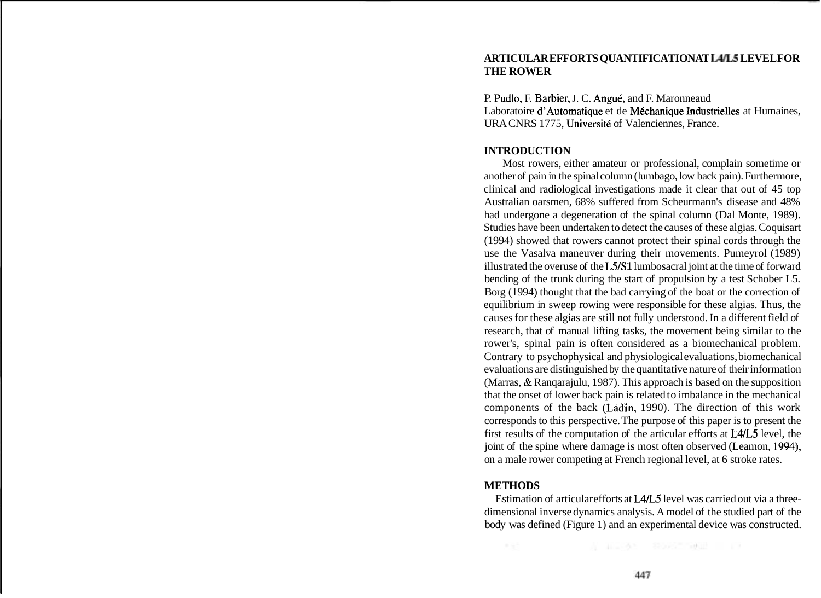# **ARTICULAR EFFORTS QUANTIFICATION AT L4/'5 LEVEL FOR THE ROWER**

P. Pudlo, F. Barbier, J. C. Angué, and F. Maronneaud Laboratoire d'Automatique et de Méchanique Industrielles at Humaines, URA CNRS 1775, Université of Valenciennes, France.

### **INTRODUCTION**

Most rowers, either amateur or professional, complain sometime or another of pain in the spinal column (lumbago, low back pain). Furthermore, clinical and radiological investigations made it clear that out of 45 top Australian oarsmen, 68% suffered from Scheurmann's disease and 48% had undergone a degeneration of the spinal column (Dal Monte, 1989). Studies have been undertaken to detect the causes of these algias. Coquisart (1994) showed that rowers cannot protect their spinal cords through the use the Vasalva maneuver during their movements. Pumeyrol (1989) illustrated the overuse of the L5/S 1 lumbosacral joint at the time of forward bending of the trunk during the start of propulsion by a test Schober L5. Borg (1994) thought that the bad carrying of the boat or the correction of equilibrium in sweep rowing were responsible for these algias. Thus, the causes for these algias are still not fully understood. In a different field of research, that of manual lifting tasks, the movement being similar to the rower's, spinal pain is often considered as a biomechanical problem. Contrary to psychophysical and physiological evaluations, biomechanical evaluations are distinguished by the quantitative nature of their information (Marras, & Ranqarajulu, 1987). This approach is based on the supposition that the onset of lower back pain is related to imbalance in the mechanical components of the back (Ladin, 1990). The direction of this work corresponds to this perspective. The purpose of this paper is to present the first results of the computation of the articular efforts at L4L5 level, the joint of the spine where damage is most often observed (Leamon, 1994), on a male rower competing at French regional level, at 6 stroke rates.

#### **METHODS**

Estimation of articular efforts at LA/L5 level was carried out via a threedimensional inverse dynamics analysis. A model of the studied part of the body was defined (Figure 1) and an experimental device was constructed.

花 正言 あた こ 新の名前の新設 コードマ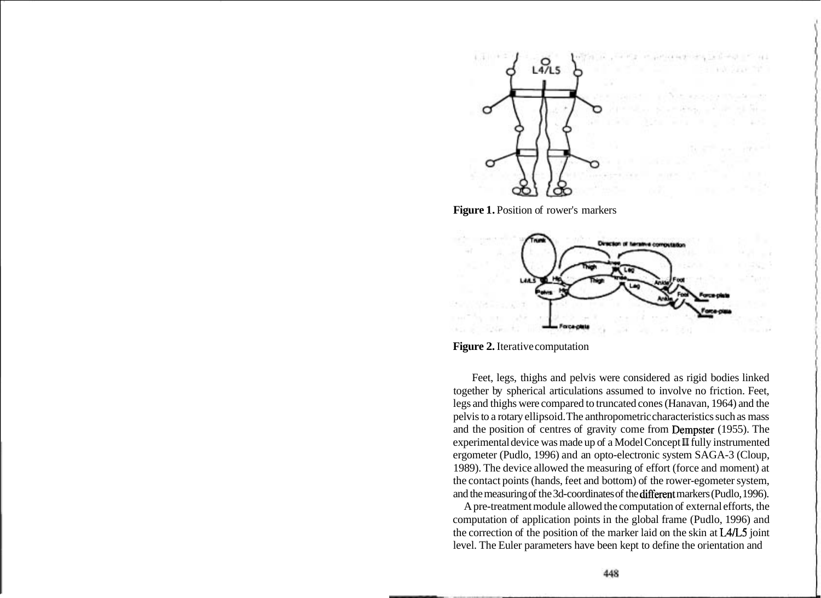

Figure 1. Position of rower's markers



**Figure 2.** Iterative computation

Feet, legs, thighs and pelvis were considered as rigid bodies linked together by spherical articulations assumed to involve no friction. Feet, legs and thighs were compared to truncated cones (Hanavan, 1964) and the pelvis to a rotary ellipsoid. The anthropometric characteristics such as mass and the position of centres of gravity come from Dempster (1955). The experimental device was made up of a Model Concept **I1** fully instrumented ergometer (Pudlo, 1996) and an opto-electronic system SAGA-3 (Cloup, 1989). The device allowed the measuring of effort (force and moment) at the contact points (hands, feet and bottom) of the rower-egometer system, and the measuring of the 3d-coordinates of the different markers (Pudlo, 1996).

A pre-treatment module allowed the computation of external efforts, the computation of application points in the global frame (Pudlo, 1996) and the correction of the position of the marker laid on the skin at L4L5 joint level. The Euler parameters have been kept to define the orientation and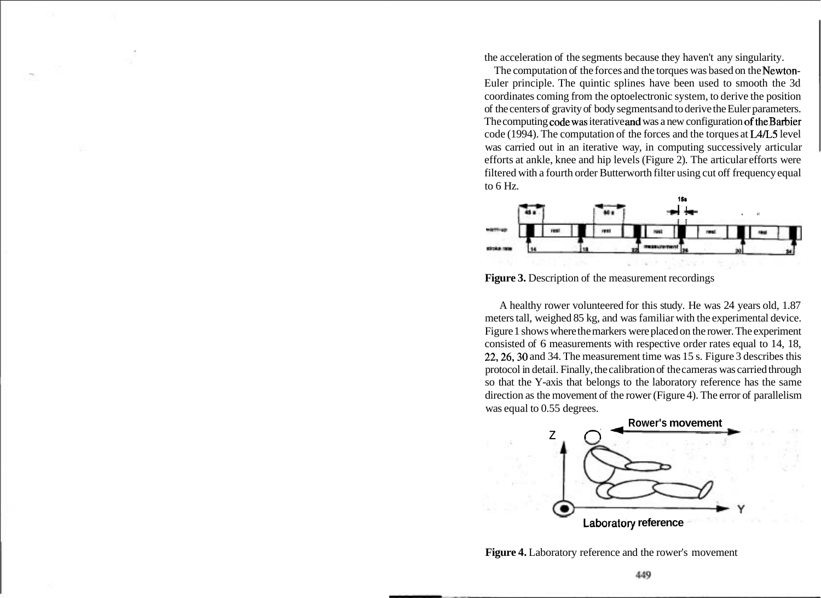the acceleration of the segments because they haven't any singularity.

The computation of the forces and the torques was based on the Newton-Euler principle. The quintic splines have been used to smooth the 3d coordinates coming from the optoelectronic system, to derive the position of the centers of gravity of body segments and to derive the Euler parameters. The computing code was iterative and was a new configuration of the Barbier code (1994). The computation of the forces and the torques at  $LA/L5$  level was carried out in an iterative way, in computing successively articular efforts at ankle, knee and hip levels (Figure 2). The articular efforts were filtered with a fourth order Butterworth filter using cut off frequency equal to 6 Hz.



**Figure 3.** Description of the measurement recordings

A healthy rower volunteered for this study. He was 24 years old, 1.87 meters tall, weighed 85 kg, and was familiar with the experimental device. Figure 1 shows where the markers were placed on the rower. The experiment consisted of 6 measurements with respective order rates equal to 14, 18, 22,26,30 and 34. The measurement time was 15 s. Figure 3 describes this protocol in detail. Finally, the calibration of the cameras was carried through so that the Y-axis that belongs to the laboratory reference has the same direction as the movement of the rower (Figure 4). The error of parallelism was equal to 0.55 degrees.



**Figure 4.** Laboratory reference and the rower's movement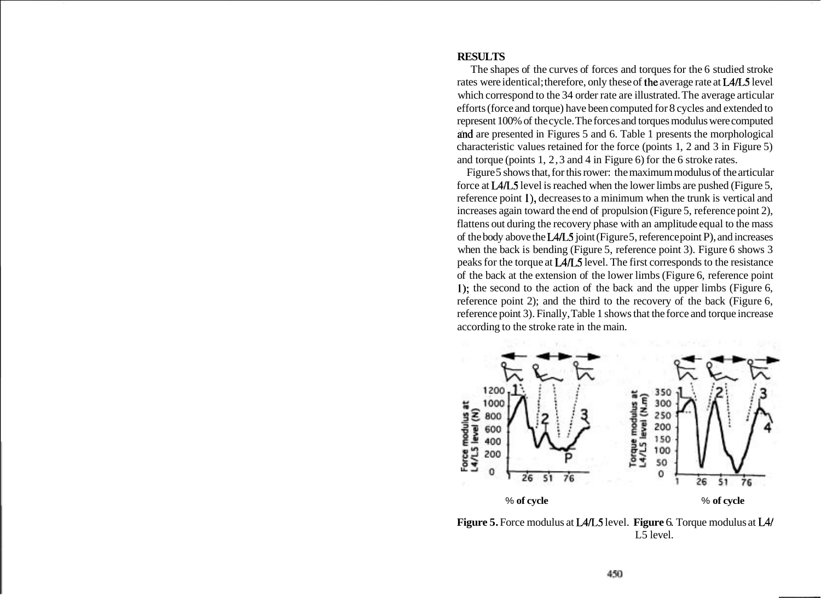# **RESULTS**

The shapes of the curves of forces and torques for the 6 studied stroke rates were identical; therefore, only these of the average rate at L4L5 level which correspond to the 34 order rate are illustrated. The average articular efforts (force and torque) have been computed for 8 cycles and extended to represent 100% of the cycle. The forces and torques modulus were computed and are presented in Figures 5 and 6. Table 1 presents the morphological characteristic values retained for the force (points 1, 2 and 3 in Figure 5) and torque (points 1, 2,3 and 4 in Figure 6) for the 6 stroke rates.

Figure 5 shows that, for this rower: the maximum modulus of the articular force at L4L5 level is reached when the lower limbs are pushed (Figure 5, reference point I), decreases to a minimum when the trunk is vertical and increases again toward the end of propulsion (Figure 5, reference point 2), flattens out during the recovery phase with an amplitude equal to the mass of the body above the L4L5 joint (Figure 5, reference point P), and increases when the back is bending (Figure 5, reference point 3). Figure 6 shows 3 peaks for the torque at L4L5 level. The first corresponds to the resistance of the back at the extension of the lower limbs (Figure 6, reference point I); the second to the action of the back and the upper limbs (Figure 6, reference point 2); and the third to the recovery of the back (Figure 6, reference point 3). Finally, Table 1 shows that the force and torque increase according to the stroke rate in the main.



**Figure 5.** Force modulus at L4L5 level. **Figure** 6. Torque modulus at L4/ L5 level.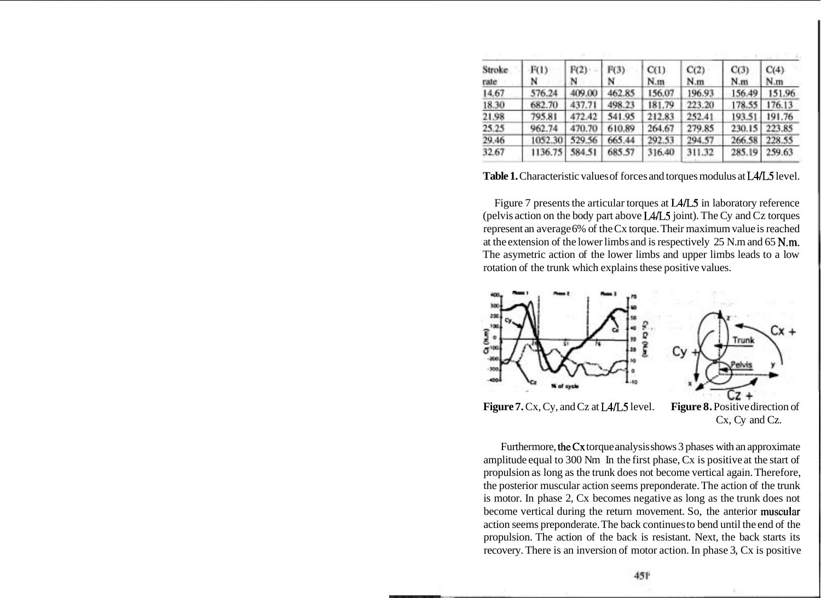| Stroke<br>rate | F(1)<br>N | F(2)<br>N | F(3)<br>N | C(1)<br>N.m | C(2)<br>N.m | C(3)<br>N.m | C(4)<br>N.m |
|----------------|-----------|-----------|-----------|-------------|-------------|-------------|-------------|
| 14.67          | 576.24    | 409.00    | 462.85    | 156.07      | 196.93      | 156.49      | 151.96      |
| 18.30          | 682.70    | 437.71    | 498.23    | 181.79      | 223.20      | 178.55      | 176.13      |
| 21.98          | 795.81    | 472.42    | 541.95    | 212.83      | 252.41      | 193.51      | 191.76      |
| 25.25          | 962.74    | 470.70    | 610.89    | 264.67      | 279.85      | 230.15      | 223.85      |
| 29.46          | 1052.30   | 529.56    | 665.44    | 292.53      | 294.57      | 266.58      | 228.55      |
| 32.67          | 1136.75   | 584.51    | 685.57    | 316.40      | 311.32      | 285.19      | 259.63      |

Table 1. Characteristic values of forces and torques modulus at L4/L5 level.

Figure 7 presents the articular torques at L4L5 in laboratory reference (pelvis action on the body part above L4L5 joint). The Cy and Cz torques represent an average 6% of the Cx torque. Their maximum value is reached at the extension of the lower limbs and is respectively 25 N.m and 65 N.m. The asymetric action of the lower limbs and upper limbs leads to a low rotation of the trunk which explains these positive values.



**Figure 7.** Cx, Cy, and Cz at L4/L5 level. **Figure 8.** Positive direction of

Cx, Cy and Cz.

Furthermore, theCx torque analysis shows 3 phases with an approximate amplitude equal to 300 Nm In the first phase, Cx is positive at the start of propulsion as long as the trunk does not become vertical again. Therefore, the posterior muscular action seems preponderate. The action of the trunk is motor. In phase 2, Cx becomes negative as long as the trunk does not become vertical during the return movement. So, the anterior musoular action seems preponderate. The back continues to bend until the end of the propulsion. The action of the back is resistant. Next, the back starts its recovery. There is an inversion of motor action. In phase 3, Cx is positive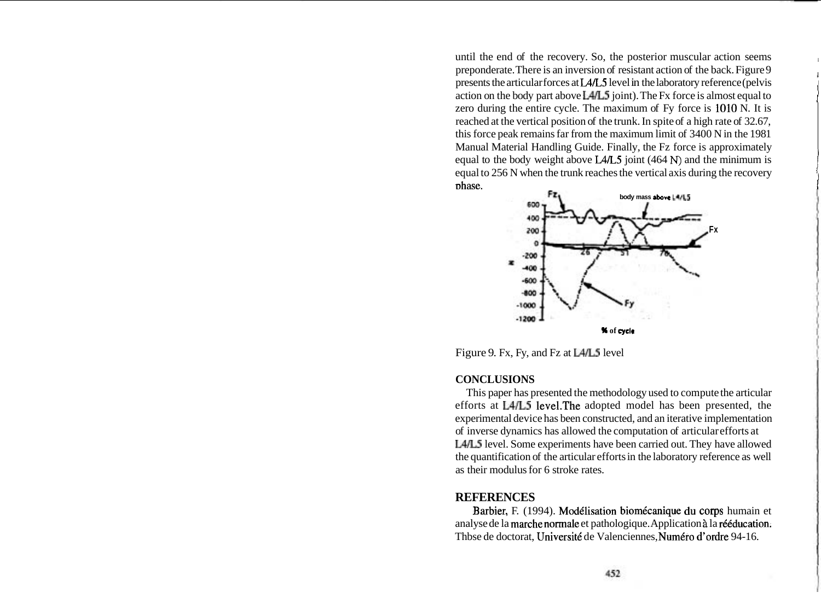until the end of the recovery. So, the posterior muscular action seems preponderate. There is an inversion of resistant action of the back. Figure 9 presents the articular forces at L4L5 level in the laboratory reference (pelvis action on the body part above L4/L5 joint). The Fx force is almost equal to zero during the entire cycle. The maximum of Fy force is 1010 N. It is reached at the vertical position of the trunk. In spite of a high rate of 32.67, this force peak remains far from the maximum limit of 3400 N in the 1981 Manual Material Handling Guide. Finally, the Fz force is approximately equal to the body weight above L4L5 joint (464 **N)** and the minimum is equal to 256 N when the trunk reaches the vertical axis during the recovery ~hase.



Figure 9. Fx, Fy, and Fz at L4/L5 level

## **CONCLUSIONS**

This paper has presented the methodology used to compute the articular efforts at L4/L5 1evel.The adopted model has been presented, the experimental device has been constructed, and an iterative implementation of inverse dynamics has allowed the computation of articular efforts at L4L5 level. Some experiments have been carried out. They have allowed the quantification of the articular efforts in the laboratory reference as well as their modulus for 6 stroke rates.

## **REFERENCES**

Barbier, F. (1994). Modélisation biomécanique du corps humain et analyse de la marche normale et pathologique. Application à la rééducation. Thbse de doctorat, Université de Valenciennes, Numéro d'ordre 94-16.